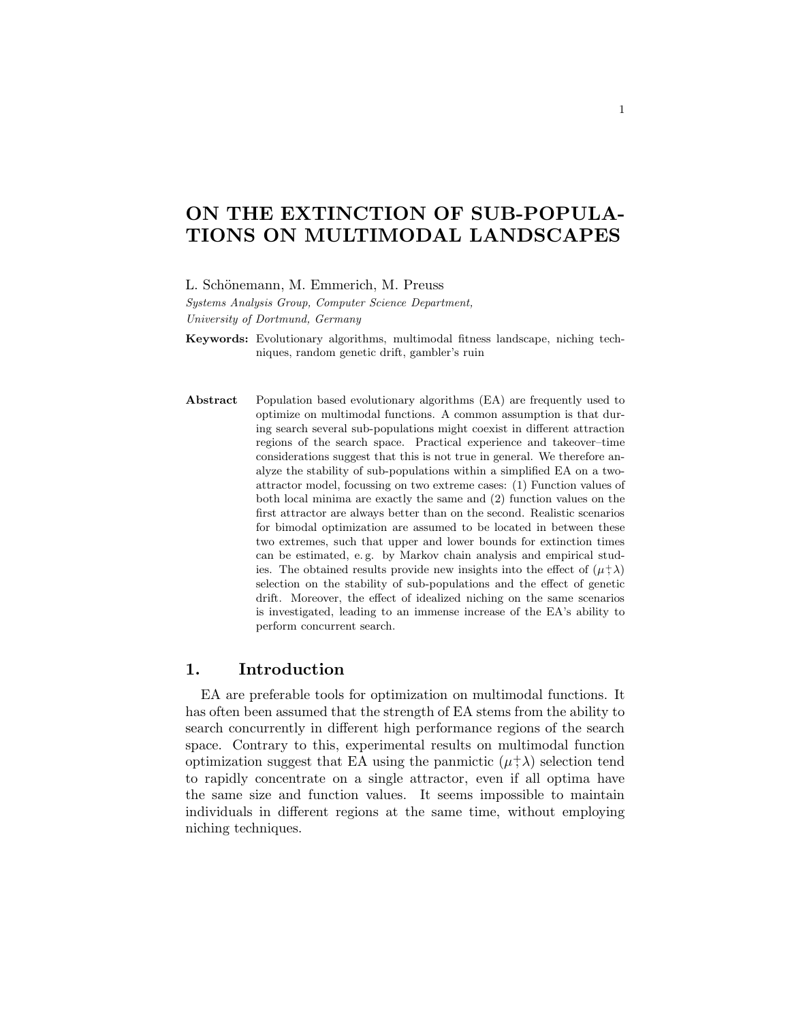# ON THE EXTINCTION OF SUB-POPULA-TIONS ON MULTIMODAL LANDSCAPES

L. Schönemann, M. Emmerich, M. Preuss

Systems Analysis Group, Computer Science Department, University of Dortmund, Germany

Keywords: Evolutionary algorithms, multimodal fitness landscape, niching techniques, random genetic drift, gambler's ruin

Abstract Population based evolutionary algorithms (EA) are frequently used to optimize on multimodal functions. A common assumption is that during search several sub-populations might coexist in different attraction regions of the search space. Practical experience and takeover–time considerations suggest that this is not true in general. We therefore analyze the stability of sub-populations within a simplified EA on a twoattractor model, focussing on two extreme cases: (1) Function values of both local minima are exactly the same and (2) function values on the first attractor are always better than on the second. Realistic scenarios for bimodal optimization are assumed to be located in between these two extremes, such that upper and lower bounds for extinction times can be estimated, e. g. by Markov chain analysis and empirical studies. The obtained results provide new insights into the effect of  $(\mu^+ \lambda)$ selection on the stability of sub-populations and the effect of genetic drift. Moreover, the effect of idealized niching on the same scenarios is investigated, leading to an immense increase of the EA's ability to perform concurrent search.

## 1. Introduction

EA are preferable tools for optimization on multimodal functions. It has often been assumed that the strength of EA stems from the ability to search concurrently in different high performance regions of the search space. Contrary to this, experimental results on multimodal function optimization suggest that EA using the panmictic  $(\mu^+\lambda)$  selection tend to rapidly concentrate on a single attractor, even if all optima have the same size and function values. It seems impossible to maintain individuals in different regions at the same time, without employing niching techniques.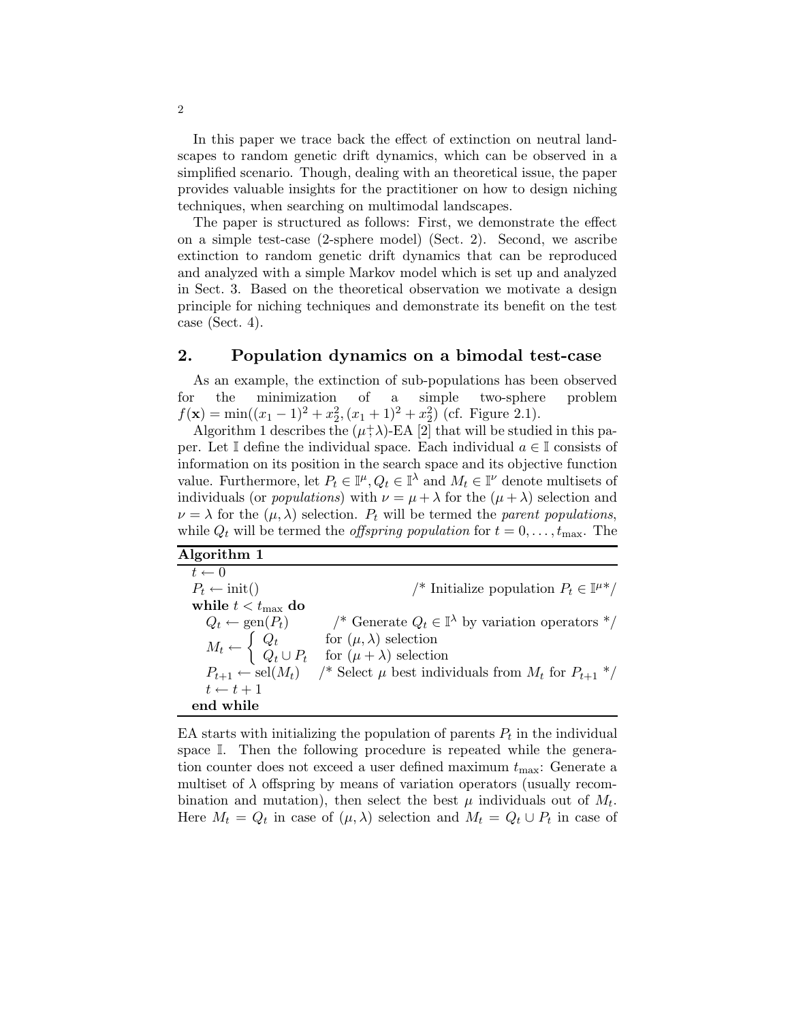In this paper we trace back the effect of extinction on neutral landscapes to random genetic drift dynamics, which can be observed in a simplified scenario. Though, dealing with an theoretical issue, the paper provides valuable insights for the practitioner on how to design niching techniques, when searching on multimodal landscapes.

The paper is structured as follows: First, we demonstrate the effect on a simple test-case (2-sphere model) (Sect. 2). Second, we ascribe extinction to random genetic drift dynamics that can be reproduced and analyzed with a simple Markov model which is set up and analyzed in Sect. 3. Based on the theoretical observation we motivate a design principle for niching techniques and demonstrate its benefit on the test case (Sect. 4).

## 2. Population dynamics on a bimodal test-case

As an example, the extinction of sub-populations has been observed for the minimization of a simple two-sphere problem  $f(\mathbf{x}) = \min((x_1 - 1)^2 + x_2^2, (x_1 + 1)^2 + x_2^2)$  (cf. Figure 2.1).

Algorithm 1 describes the  $(\mu^+\lambda)$ -EA [2] that will be studied in this paper. Let I define the individual space. Each individual  $a \in \mathbb{I}$  consists of information on its position in the search space and its objective function value. Furthermore, let  $P_t \in \mathbb{I}^{\mu}, Q_t \in \mathbb{I}^{\lambda}$  and  $M_t \in \mathbb{I}^{\nu}$  denote multisets of individuals (or *populations*) with  $\nu = \mu + \lambda$  for the  $(\mu + \lambda)$  selection and  $\nu = \lambda$  for the  $(\mu, \lambda)$  selection.  $P_t$  will be termed the parent populations, while  $Q_t$  will be termed the *offspring population* for  $t = 0, \ldots, t_{\text{max}}$ . The

| Algorithm 1 |  |
|-------------|--|
|             |  |

 $t \leftarrow 0$  $P_t \leftarrow \text{init}()$  /\* Initialize population  $P_t \in \mathbb{I}^{\mu *}/$ while  $t < t_{\text{max}}$  do  $Q_t \leftarrow \text{gen}(P_t)$  /\* Generate  $Q_t \in \mathbb{I}^{\lambda}$  by variation operators \*/  $M_t \leftarrow$  $\int Q_t$  for  $(\mu, \lambda)$  selection  $Q_t \cup P_t$  for  $(\mu + \lambda)$  selection  $P_{t+1} \leftarrow \text{sel}(M_t)$  /\* Select  $\mu$  best individuals from  $M_t$  for  $P_{t+1}$  \*/  $t \leftarrow t + 1$ end while

EA starts with initializing the population of parents  $P_t$  in the individual space I. Then the following procedure is repeated while the generation counter does not exceed a user defined maximum  $t_{\text{max}}$ : Generate a multiset of  $\lambda$  offspring by means of variation operators (usually recombination and mutation), then select the best  $\mu$  individuals out of  $M_t$ . Here  $M_t = Q_t$  in case of  $(\mu, \lambda)$  selection and  $M_t = Q_t \cup P_t$  in case of

2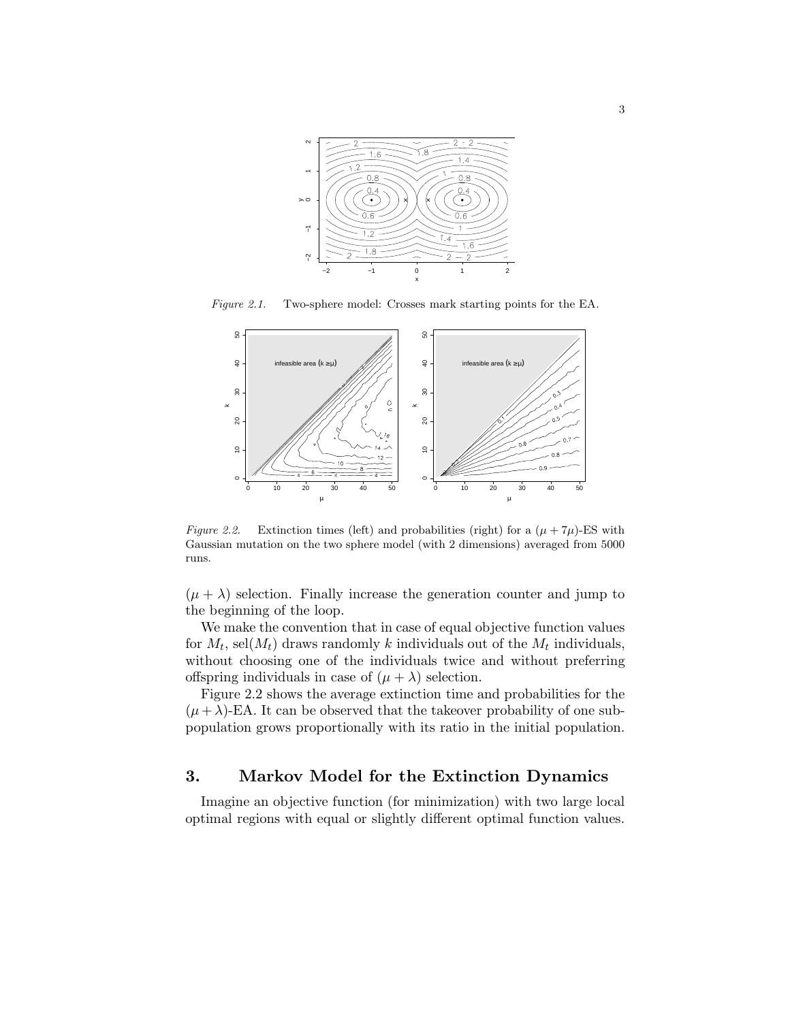

Figure 2.1. Two-sphere model: Crosses mark starting points for the EA.



Figure 2.2. Extinction times (left) and probabilities (right) for a  $(\mu + 7\mu)$ -ES with Gaussian mutation on the two sphere model (with 2 dimensions) averaged from 5000 runs.

 $(\mu + \lambda)$  selection. Finally increase the generation counter and jump to the beginning of the loop.

We make the convention that in case of equal objective function values for  $M_t$ , sel $(M_t)$  draws randomly k individuals out of the  $M_t$  individuals, without choosing one of the individuals twice and without preferring offspring individuals in case of  $(\mu + \lambda)$  selection.

Figure 2.2 shows the average extinction time and probabilities for the  $(\mu + \lambda)$ -EA. It can be observed that the takeover probability of one subpopulation grows proportionally with its ratio in the initial population.

## 3. Markov Model for the Extinction Dynamics

Imagine an objective function (for minimization) with two large local optimal regions with equal or slightly different optimal function values.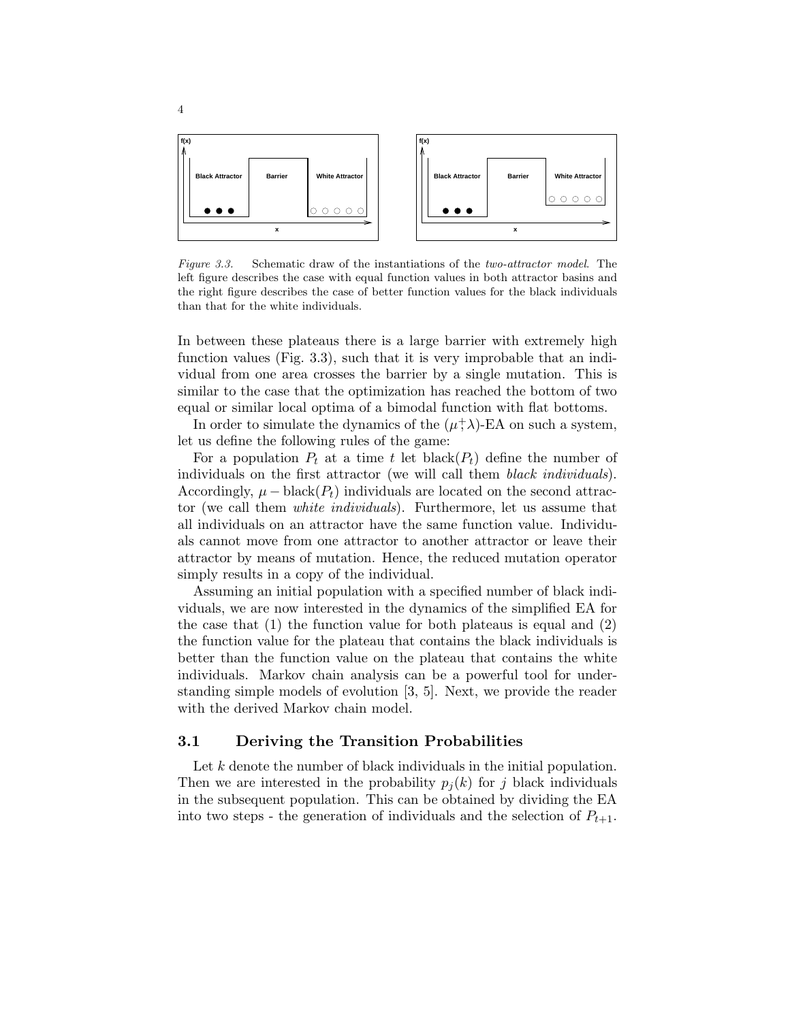

Figure 3.3. Schematic draw of the instantiations of the two-attractor model. The left figure describes the case with equal function values in both attractor basins and the right figure describes the case of better function values for the black individuals than that for the white individuals.

In between these plateaus there is a large barrier with extremely high function values (Fig. 3.3), such that it is very improbable that an individual from one area crosses the barrier by a single mutation. This is similar to the case that the optimization has reached the bottom of two equal or similar local optima of a bimodal function with flat bottoms.

In order to simulate the dynamics of the  $(\mu^+\lambda)$ -EA on such a system, let us define the following rules of the game:

For a population  $P_t$  at a time t let black $(P_t)$  define the number of individuals on the first attractor (we will call them black individuals). Accordingly,  $\mu$  – black( $P_t$ ) individuals are located on the second attractor (we call them white individuals). Furthermore, let us assume that all individuals on an attractor have the same function value. Individuals cannot move from one attractor to another attractor or leave their attractor by means of mutation. Hence, the reduced mutation operator simply results in a copy of the individual.

Assuming an initial population with a specified number of black individuals, we are now interested in the dynamics of the simplified EA for the case that  $(1)$  the function value for both plateaus is equal and  $(2)$ the function value for the plateau that contains the black individuals is better than the function value on the plateau that contains the white individuals. Markov chain analysis can be a powerful tool for understanding simple models of evolution [3, 5]. Next, we provide the reader with the derived Markov chain model.

#### 3.1 Deriving the Transition Probabilities

Let  $k$  denote the number of black individuals in the initial population. Then we are interested in the probability  $p_i(k)$  for j black individuals in the subsequent population. This can be obtained by dividing the EA into two steps - the generation of individuals and the selection of  $P_{t+1}$ .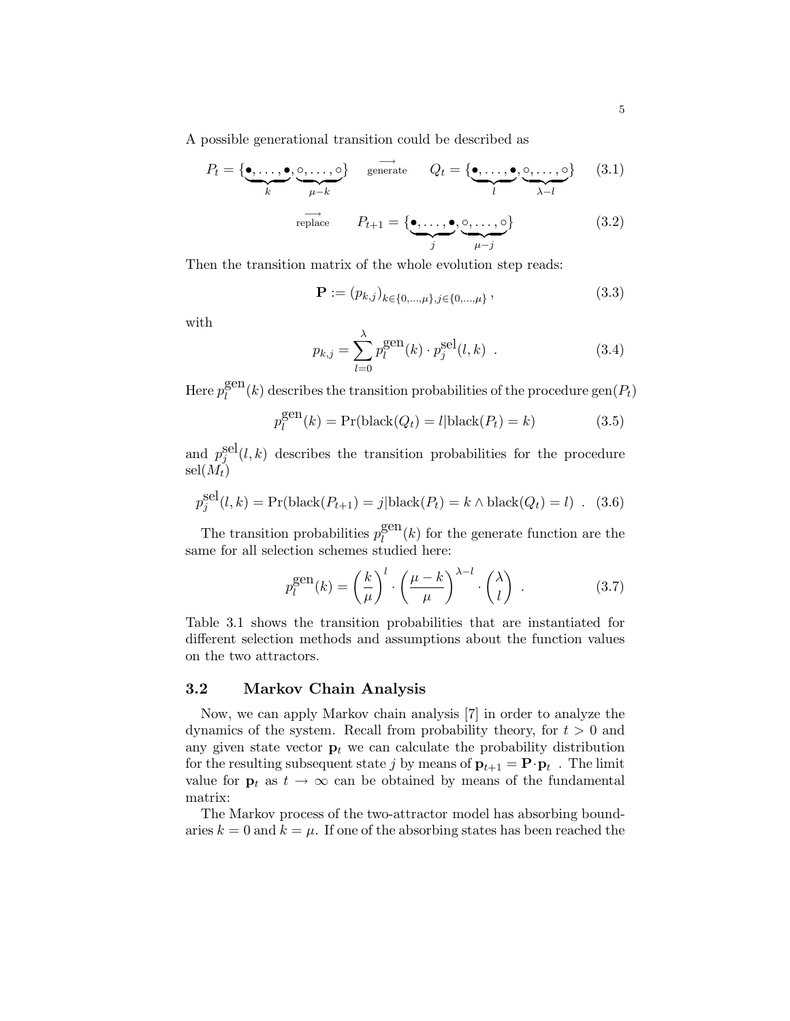A possible generational transition could be described as

$$
P_t = \{ \underbrace{\bullet, \dots, \bullet}_{k}, \underbrace{\circ, \dots, \circ}_{\mu-k} \} \quad \text{generate} \quad Q_t = \{ \underbrace{\bullet, \dots, \bullet}_{l}, \underbrace{\circ, \dots, \circ}_{\lambda-l} \} \quad (3.1)
$$
\n
$$
\overrightarrow{r} \text{ replace } P_{t+1} = \{ \underbrace{\bullet, \dots, \bullet}_{j}, \underbrace{\circ, \dots, \circ}_{\mu-j} \} \quad (3.2)
$$

Then the transition matrix of the whole evolution step reads:

$$
\mathbf{P} := (p_{k,j})_{k \in \{0,\dots,\mu\}, j \in \{0,\dots,\mu\}},
$$
\n(3.3)

with

$$
p_{k,j} = \sum_{l=0}^{\lambda} p_l^{\text{gen}}(k) \cdot p_j^{\text{sel}}(l,k) . \tag{3.4}
$$

Here  $p_l^{\text{gen}}$  $\ell_{l}^{\text{gen}}(k)$  describes the transition probabilities of the procedure  $\text{gen}(P_t)$ 

$$
p_l^{\text{gen}}(k) = \Pr(\text{black}(Q_t) = l | \text{black}(P_t) = k)
$$
\n(3.5)

and  $p_j^{\text{sel}}(l, k)$  describes the transition probabilities for the procedure  $\operatorname{sel}(M_t)$ 

$$
p_j^{\text{sel}}(l,k) = \Pr(\text{black}(P_{t+1}) = j | \text{black}(P_t) = k \land \text{black}(Q_t) = l) . (3.6)
$$

The transition probabilities  $p_l^{\text{gen}}$  $\ell_{l}^{\text{gen}}(k)$  for the generate function are the same for all selection schemes studied here:

$$
p_l^{\text{gen}}(k) = \left(\frac{k}{\mu}\right)^l \cdot \left(\frac{\mu - k}{\mu}\right)^{\lambda - l} \cdot \binom{\lambda}{l} \tag{3.7}
$$

Table 3.1 shows the transition probabilities that are instantiated for different selection methods and assumptions about the function values on the two attractors.

#### 3.2 Markov Chain Analysis

Now, we can apply Markov chain analysis [7] in order to analyze the dynamics of the system. Recall from probability theory, for  $t > 0$  and any given state vector  $\mathbf{p}_t$  we can calculate the probability distribution for the resulting subsequent state j by means of  $\mathbf{p}_{t+1} = \mathbf{P} \cdot \mathbf{p}_t$ . The limit value for  $\mathbf{p}_t$  as  $t \to \infty$  can be obtained by means of the fundamental matrix:

The Markov process of the two-attractor model has absorbing boundaries  $k = 0$  and  $k = \mu$ . If one of the absorbing states has been reached the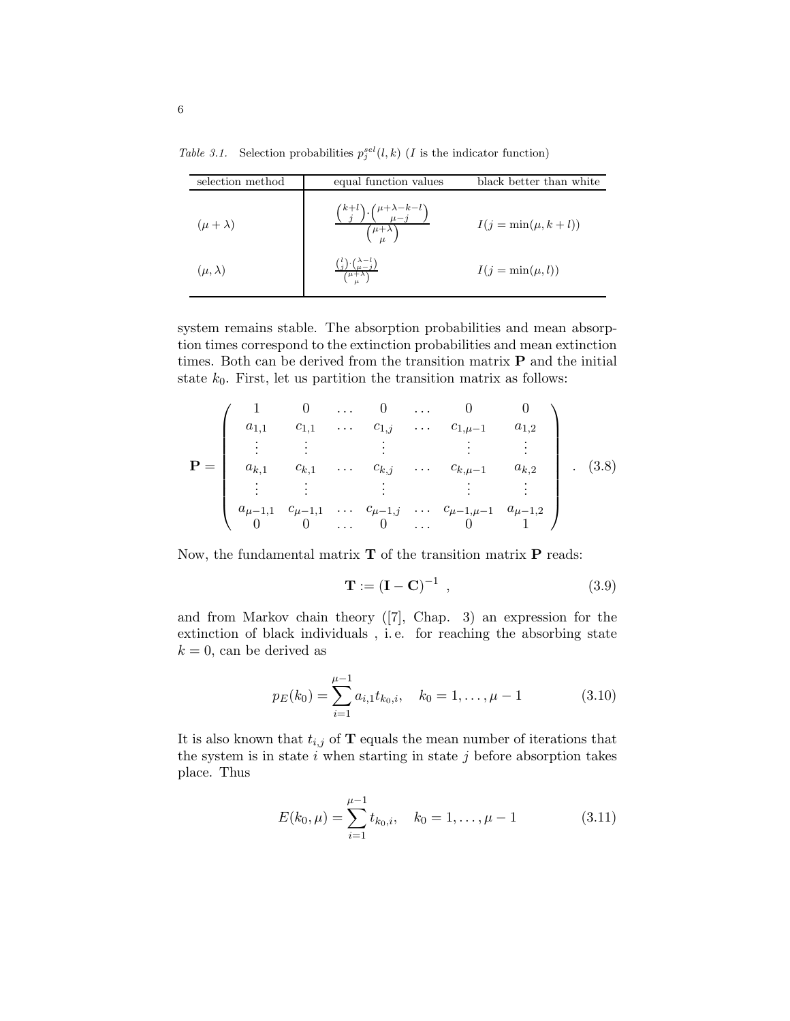| selection method  | equal function values                                                     | black better than white |  |  |
|-------------------|---------------------------------------------------------------------------|-------------------------|--|--|
| $(\mu + \lambda)$ | $\binom{k+l}{j}\cdot\binom{\mu+\lambda-k-l}{\mu-i}$<br>$(\mu + \lambda)$  | $I(j = min(\mu, k+l))$  |  |  |
| $(\mu, \lambda)$  | $\frac{{l \choose j} \cdot {\lambda - l \choose \mu - j}}{\mu + \lambda}$ | $I(j = \min(\mu, l))$   |  |  |

Table 3.1. Selection probabilities  $p_j^{sel}(l, k)$  (*I* is the indicator function)

system remains stable. The absorption probabilities and mean absorption times correspond to the extinction probabilities and mean extinction times. Both can be derived from the transition matrix P and the initial state  $k_0$ . First, let us partition the transition matrix as follows:

$$
\mathbf{P} = \begin{pmatrix} 1 & 0 & \dots & 0 & \dots & 0 & 0 \\ a_{1,1} & c_{1,1} & \dots & c_{1,j} & \dots & c_{1,\mu-1} & a_{1,2} \\ \vdots & \vdots & \vdots & \vdots & \vdots & \vdots \\ a_{k,1} & c_{k,1} & \dots & c_{k,j} & \dots & c_{k,\mu-1} & a_{k,2} \\ \vdots & \vdots & \vdots & \vdots & \vdots & \vdots \\ a_{\mu-1,1} & c_{\mu-1,1} & \dots & c_{\mu-1,j} & \dots & c_{\mu-1,\mu-1} & a_{\mu-1,2} \\ 0 & 0 & \dots & 0 & \dots & 0 & 1 \end{pmatrix} . (3.8)
$$

Now, the fundamental matrix  $T$  of the transition matrix  $P$  reads:

$$
\mathbf{T} := (\mathbf{I} - \mathbf{C})^{-1} \tag{3.9}
$$

and from Markov chain theory ([7], Chap. 3) an expression for the extinction of black individuals , i. e. for reaching the absorbing state  $k = 0$ , can be derived as

$$
p_E(k_0) = \sum_{i=1}^{\mu-1} a_{i,1} t_{k_0,i}, \quad k_0 = 1, \dots, \mu - 1
$$
 (3.10)

It is also known that  $t_{i,j}$  of **T** equals the mean number of iterations that the system is in state  $i$  when starting in state  $j$  before absorption takes place. Thus

$$
E(k_0, \mu) = \sum_{i=1}^{\mu-1} t_{k_0, i}, \quad k_0 = 1, \dots, \mu - 1
$$
 (3.11)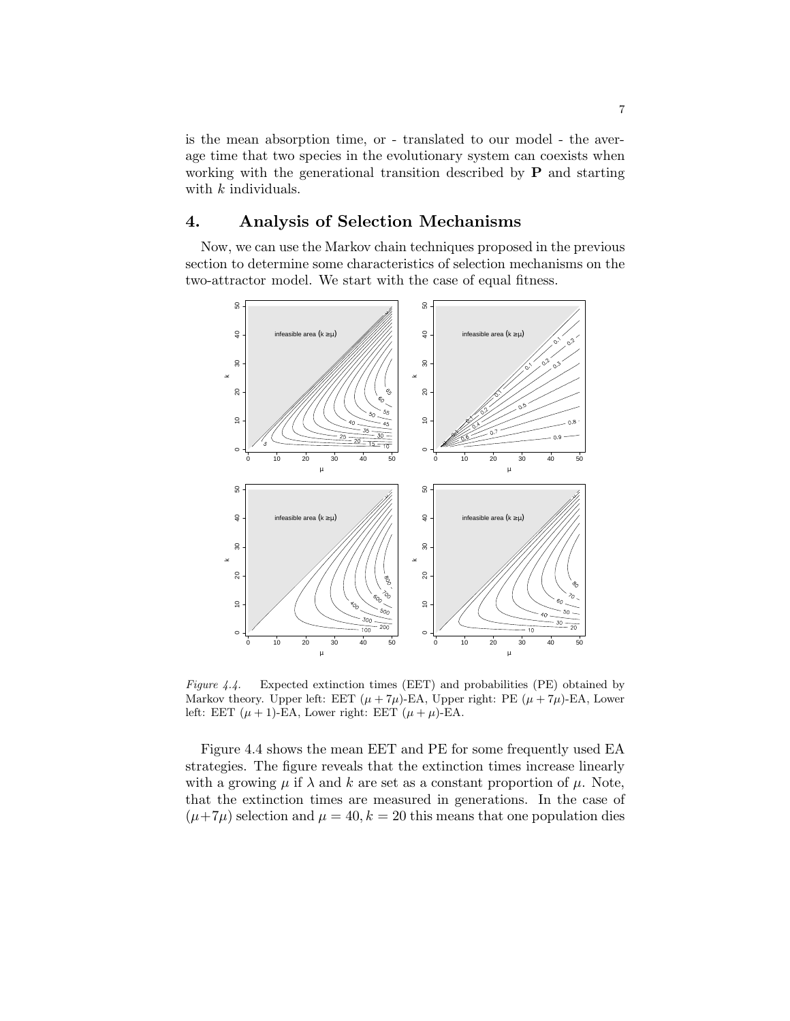is the mean absorption time, or - translated to our model - the average time that two species in the evolutionary system can coexists when working with the generational transition described by **P** and starting with k individuals.

## 4. Analysis of Selection Mechanisms

Now, we can use the Markov chain techniques proposed in the previous section to determine some characteristics of selection mechanisms on the two-attractor model. We start with the case of equal fitness.



Figure 4.4. Expected extinction times (EET) and probabilities (PE) obtained by Markov theory. Upper left: EET  $(\mu + 7\mu)$ -EA, Upper right: PE  $(\mu + 7\mu)$ -EA, Lower left: EET  $(\mu + 1)$ -EA, Lower right: EET  $(\mu + \mu)$ -EA.

Figure 4.4 shows the mean EET and PE for some frequently used EA strategies. The figure reveals that the extinction times increase linearly with a growing  $\mu$  if  $\lambda$  and k are set as a constant proportion of  $\mu$ . Note, that the extinction times are measured in generations. In the case of  $(\mu+7\mu)$  selection and  $\mu = 40, k = 20$  this means that one population dies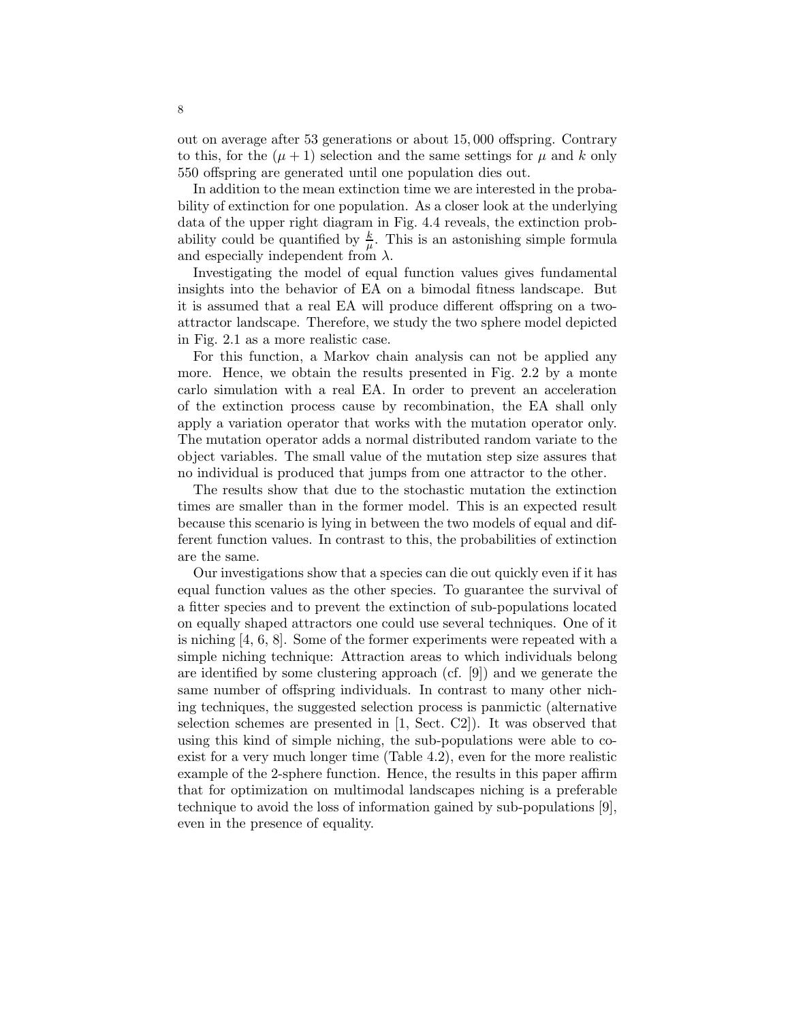out on average after 53 generations or about 15, 000 offspring. Contrary to this, for the  $(\mu + 1)$  selection and the same settings for  $\mu$  and k only 550 offspring are generated until one population dies out.

In addition to the mean extinction time we are interested in the probability of extinction for one population. As a closer look at the underlying data of the upper right diagram in Fig. 4.4 reveals, the extinction probability could be quantified by  $\frac{k}{\mu}$ . This is an astonishing simple formula and especially independent from  $\lambda$ .

Investigating the model of equal function values gives fundamental insights into the behavior of EA on a bimodal fitness landscape. But it is assumed that a real EA will produce different offspring on a twoattractor landscape. Therefore, we study the two sphere model depicted in Fig. 2.1 as a more realistic case.

For this function, a Markov chain analysis can not be applied any more. Hence, we obtain the results presented in Fig. 2.2 by a monte carlo simulation with a real EA. In order to prevent an acceleration of the extinction process cause by recombination, the EA shall only apply a variation operator that works with the mutation operator only. The mutation operator adds a normal distributed random variate to the object variables. The small value of the mutation step size assures that no individual is produced that jumps from one attractor to the other.

The results show that due to the stochastic mutation the extinction times are smaller than in the former model. This is an expected result because this scenario is lying in between the two models of equal and different function values. In contrast to this, the probabilities of extinction are the same.

Our investigations show that a species can die out quickly even if it has equal function values as the other species. To guarantee the survival of a fitter species and to prevent the extinction of sub-populations located on equally shaped attractors one could use several techniques. One of it is niching [4, 6, 8]. Some of the former experiments were repeated with a simple niching technique: Attraction areas to which individuals belong are identified by some clustering approach (cf. [9]) and we generate the same number of offspring individuals. In contrast to many other niching techniques, the suggested selection process is panmictic (alternative selection schemes are presented in [1, Sect. C2]). It was observed that using this kind of simple niching, the sub-populations were able to coexist for a very much longer time (Table 4.2), even for the more realistic example of the 2-sphere function. Hence, the results in this paper affirm that for optimization on multimodal landscapes niching is a preferable technique to avoid the loss of information gained by sub-populations [9], even in the presence of equality.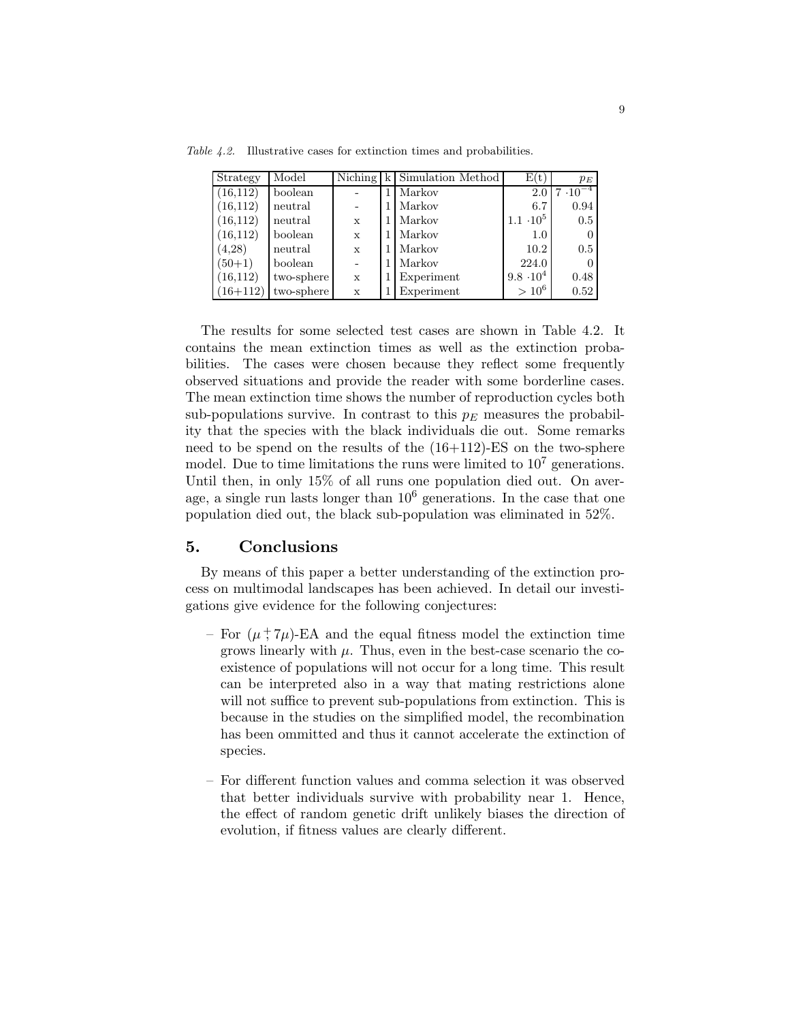Table 4.2. Illustrative cases for extinction times and probabilities.

| Strategy   | Model      |             |   | Niching $k$ Simulation Method | E(t)             | $p_E$             |
|------------|------------|-------------|---|-------------------------------|------------------|-------------------|
| (16, 112)  | boolean    |             | 1 | Markov                        | 2.0              | $7 \cdot 10^{-4}$ |
| (16, 112)  | neutral    |             |   | Markov                        | 6.7              | 0.94              |
| (16, 112)  | neutral    | X           |   | Markov                        | $1.1 \cdot 10^5$ | 0.5               |
| (16, 112)  | boolean    | $\mathbf x$ |   | Markov                        | 1.0              | 0                 |
| (4,28)     | neutral    | X           |   | Markov                        | 10.2             | 0.5               |
| $(50+1)$   | boolean    |             |   | Markov                        | 224.0            | 0                 |
| (16, 112)  | two-sphere | $\mathbf x$ |   | Experiment                    | $9.8 \cdot 10^4$ | 0.48              |
| $(16+112)$ | two-sphere | X           | 1 | Experiment                    | $> 10^6$         | 0.52              |

The results for some selected test cases are shown in Table 4.2. It contains the mean extinction times as well as the extinction probabilities. The cases were chosen because they reflect some frequently observed situations and provide the reader with some borderline cases. The mean extinction time shows the number of reproduction cycles both sub-populations survive. In contrast to this  $p<sub>E</sub>$  measures the probability that the species with the black individuals die out. Some remarks need to be spend on the results of the (16+112)-ES on the two-sphere model. Due to time limitations the runs were limited to  $10^7$  generations. Until then, in only 15% of all runs one population died out. On average, a single run lasts longer than  $10<sup>6</sup>$  generations. In the case that one population died out, the black sub-population was eliminated in 52%.

#### 5. Conclusions

By means of this paper a better understanding of the extinction process on multimodal landscapes has been achieved. In detail our investigations give evidence for the following conjectures:

- For  $(\mu^+,\tau\mu)$ -EA and the equal fitness model the extinction time grows linearly with  $\mu$ . Thus, even in the best-case scenario the coexistence of populations will not occur for a long time. This result can be interpreted also in a way that mating restrictions alone will not suffice to prevent sub-populations from extinction. This is because in the studies on the simplified model, the recombination has been ommitted and thus it cannot accelerate the extinction of species.
- For different function values and comma selection it was observed that better individuals survive with probability near 1. Hence, the effect of random genetic drift unlikely biases the direction of evolution, if fitness values are clearly different.